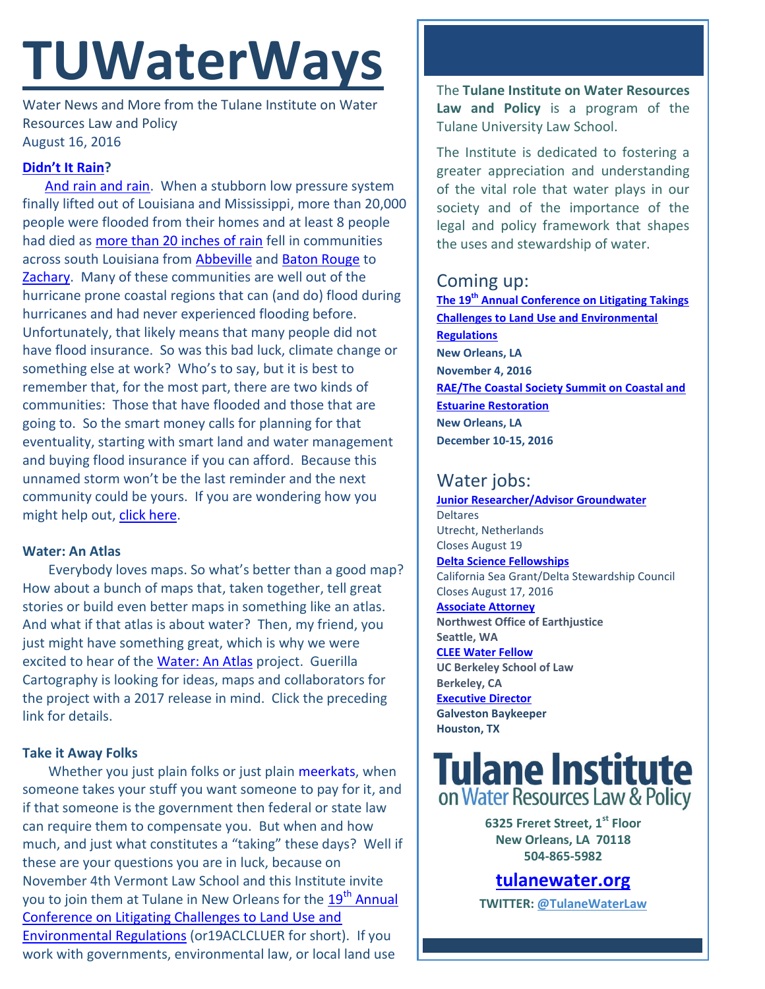# **TUWaterWays**

Water News and More from the Tulane Institute on Water Resources Law and Policy August 16, 2016

### **[Didn't It Rain](https://www.youtube.com/watch?v=B5LsvoMViNA)?**

[And rain and rain.](http://www.foxnews.com/us/2016/08/16/death-toll-in-louisiana-floods-rises-to-7-as-waters-slowly-begin-to-recede.html) When a stubborn low pressure system finally lifted out of Louisiana and Mississippi, more than 20,000 people were flooded from their homes and at least 8 people had died as [more than 20 inches of rain](http://earthobservatory.nasa.gov/NaturalHazards/view.php?id=88587) fell in communities across south Louisiana from [Abbeville](http://klfy.com/2016/08/15/abbeville-residents-start-to-pick-up-the-pieces-after-flood/) and [Baton Rouge](http://www.nola.com/weather/index.ssf/2016/08/louisiana_flood_of_2016_what_y.html) to [Zachary.](http://www.wbrz.com/news/watch-drone-footage-documents-flooding-in-zachary/) Many of these communities are well out of the hurricane prone coastal regions that can (and do) flood during hurricanes and had never experienced flooding before. Unfortunately, that likely means that many people did not have flood insurance. So was this bad luck, climate change or something else at work? Who's to say, but it is best to remember that, for the most part, there are two kinds of communities: Those that have flooded and those that are going to. So the smart money calls for planning for that eventuality, starting with smart land and water management and buying flood insurance if you can afford. Because this unnamed storm won't be the last reminder and the next community could be yours. If you are wondering how you might help out, [click here.](http://www.volunteerlouisiana.gov/volunteering/blog/)

#### **Water: An Atlas**

Everybody loves maps. So what's better than a good map? How about a bunch of maps that, taken together, tell great stories or build even better maps in something like an atlas. And what if that atlas is about water? Then, my friend, you just might have something great, which is why we were excited to hear of the [Water: An Atlas](http://www.guerrillacartography.org/call-for-maps/) project. Guerilla Cartography is looking for ideas, maps and collaborators for the project with a 2017 release in mind. Click the preceding link for details.

#### **Take it Away Folks**

Whether you just plain folks or just plain [meerkats,](https://www.youtube.com/watch?v=S0gT9qG20xw) when someone takes your stuff you want someone to pay for it, and if that someone is the government then federal or state law can require them to compensate you. But when and how much, and just what constitutes a "taking" these days? Well if these are your questions you are in luck, because on November 4th Vermont Law School and this Institute invite you to join them at Tulane in New Orleans for the 19<sup>th</sup> Annual [Conference on Litigating Challenges to Land Use and](http://www.vermontlaw.edu/news-and-events/events/takings-conference)  [Environmental Regulations](http://www.vermontlaw.edu/news-and-events/events/takings-conference) (or19ACLCLUER for short). If you work with governments, environmental law, or local land use

The **Tulane Institute on Water Resources Law and Policy** is a program of the Tulane University Law School.

The Institute is dedicated to fostering a greater appreciation and understanding of the vital role that water plays in our society and of the importance of the legal and policy framework that shapes the uses and stewardship of water.

## Coming up:

**The 19th [Annual Conference on Litigating Takings](http://www.vermontlaw.edu/news-and-events/events/takings-conference)  [Challenges to Land Use and Environmental](http://www.vermontlaw.edu/news-and-events/events/takings-conference)  [Regulations](http://www.vermontlaw.edu/news-and-events/events/takings-conference) New Orleans, LA November 4, 2016 [RAE/The Coastal Society Summit on Coastal and](https://www.estuaries.org/images/NOLA_2016/2016-Summit-CFP_FINAL-011516.pdf)  [Estuarine Restoration](https://www.estuaries.org/images/NOLA_2016/2016-Summit-CFP_FINAL-011516.pdf) New Orleans, LA December 10-15, 2016**

# Water jobs:

**[Junior Researcher/Advisor Groundwater](https://www.deltares.nl/nl/careers/junior-researcheradvisor-groundwater/) Deltares** Utrecht, Netherlands Closes August 19 **[Delta Science Fellowships](https://caseagrant.ucsd.edu/fellowships/delta-science-fellowship)** California Sea Grant/Delta Stewardship Council Closes August 17, 2016 **[Associate Attorney](http://tulanewater.us11.list-manage1.com/track/click?u=b87c517a041f161e5ba9b4abd&id=93be59c274&e=1061668570) Northwest Office of Earthjustice Seattle, WA [CLEE Water Fellow](file:///C:/Users/waterlaw/Downloads/CLEE_Water%20Fellow_July%202016.pdf) UC Berkeley School of Law Berkeley, CA [Executive Director](http://www.galvestonbaykeeper.org/job_openings) Galveston Baykeeper Houston, TX**



**6325 Freret Street, 1st Floor New Orleans, LA 70118 504-865-5982** 

# **[tulanewater.org](file:///C:/Users/waterlaw/Downloads/tulanewater.org)**

**TWITTER: [@TulaneWaterLaw](http://www.twitter.com/TulaneWaterLaw)**